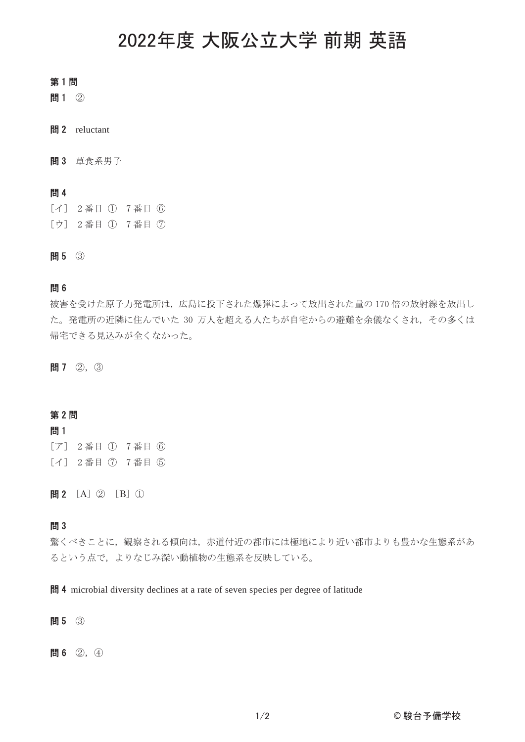# 㻌 2022年度 大阪公立大学 前期 英語

## 第1問

問1 2

間2 reluctant

**問3** 草食系男子

## 問4

[イ] 2番目 (I) 7番目 (6) [ウ] 2番目 ① 7番目 ⑦

問5 3

## 問6

被害を受けた原子力発電所は、広島に投下された爆弾によって放出された量の170倍の放射線を放出し た。発電所の近隣に住んでいた 30 万人を超える人たちが自宅からの避難を余儀なくされ、その多くは 帰宅できる見込みが全くなかった。

問7 2, 3

## 第2問

## 問1

[ア] 2番目 ① 7番目 6 [イ] 2番目 (7) 7番目 (5)

問2  $[A]$  ②  $[B]$  ①

## 問3

驚くべきことに、観察される傾向は、赤道付近の都市には極地により近い都市よりも豊かな生態系があ るという点で、よりなじみ深い動植物の生態系を反映している。

**問 4** microbial diversity declines at a rate of seven species per degree of latitude

問5 3

問6 ②, 4